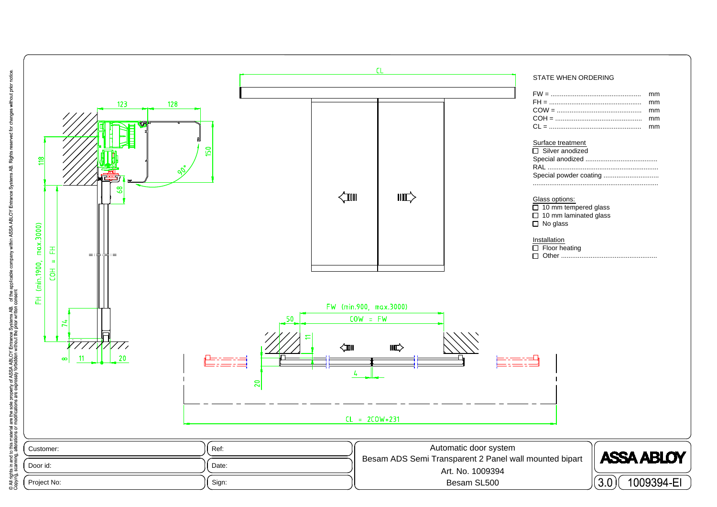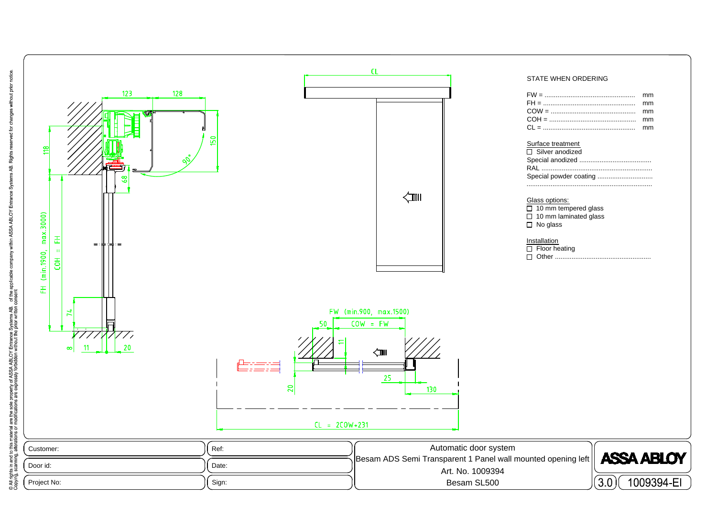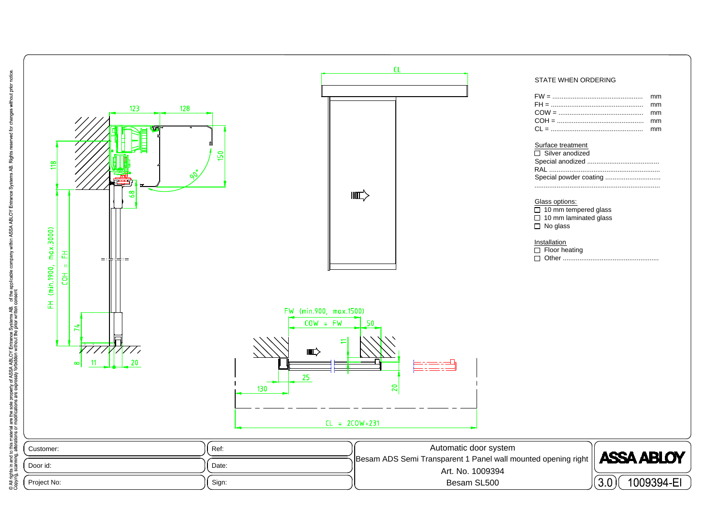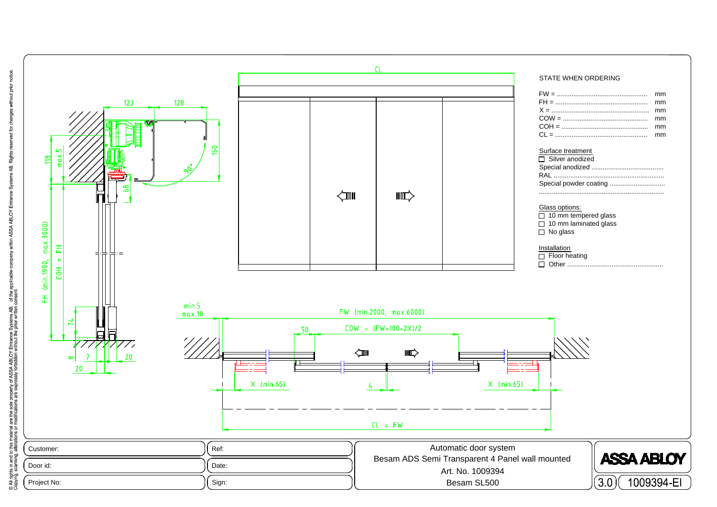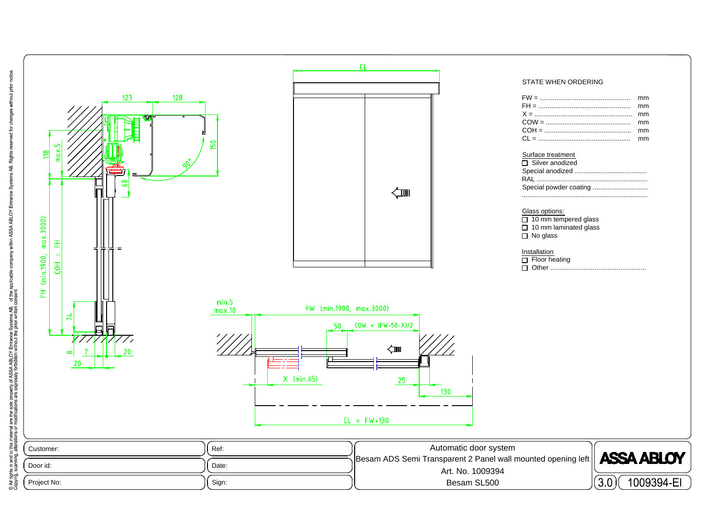